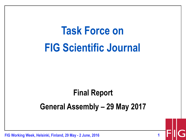# **Task Force on FIG Scientific Journal**

#### **Final Report General Assembly – 29 May 2017**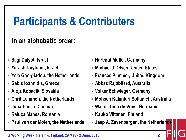### **Participants & Contributers**

#### **In an alphabetic order:**

- **Sagi Dalyot, Israel**
- **Yerach Doytsher, Israel**
- **Yola Georgiadou, the Netherlands**
- **Babis Ioannidis, Greece**
- **Alojz Kopacik, Slovakia**
- **Chrit Lemmen, the Netherlands**
- **Jonathan Li, Canada**
- **Raluca Manea, Romania**
- **Paul van der Molen, the Netherlands**
- **Hartmut Müller, Germany**
- **Michael J. Olsen, United States**
- **Frances Plimmer, United Kingdom**
- **Abbas Rajabifard, Australia**
- **Volker Schwieger, Germany**
- **Mohsen Kalantari Soltanieh, Australia**
- **Walter Timo de Vries, Germany**
- **Kauko Viitanen, Finland**
- **Jaap A. Zevenbergen, the Netherlands**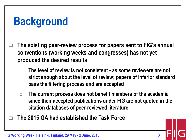## **Background**

- **The existing peer-review process for papers sent to FIG's annual conventions (working weeks and congresses) has not yet produced the desired results:** 
	- **The level of review is not consistent - as some reviewers are not strict enough about the level of review; papers of inferior standard pass the filtering process and are accepted**
	- **The current process does not benefit members of the academia since their accepted publications under FIG are not quoted in the citation databases of peer-reviewed literature**
- **The 2015 GA had established the Task Force**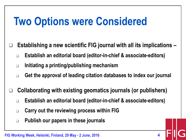## **Two Options were Considered**

- **Establishing a new scientific FIG journal with all its implications –**
- **Establish an editorial board (editor-in-chief & associate-editors)**
- **Initiating a printing/publishing mechanism**
- **Get the approval of leading citation databases to index our journal**
- **Collaborating with existing geomatics journals (or publishers)**
	- **Establish an editorial board (editor-in-chief & associate-editors)**
	- **Carry out the reviewing process within FIG**
	- **Publish our papers in these journals**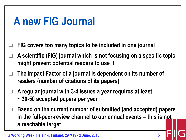#### **A new FIG Journal**

- **FIG covers too many topics to be included in one journal**
- **A scientific (FIG) journal which is not focusing on a specific topic might prevent potential readers to use it**
- **The Impact Factor of a journal is dependent on its number of readers (number of citations of its papers)**
- **A regular journal with 3-4 issues a year requires at least ~ 30-50 accepted papers per year**
- **Based on the current number of submitted (and accepted) papers in the full-peer-review channel to our annual events – this is not a reachable target**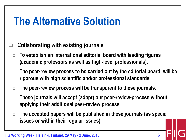#### **The Alternative Solution**

#### **Collaborating with existing journals**

- **To establish an international editorial board with leading figures (academic professors as well as high-level professionals).**
- **The peer-review process to be carried out by the editorial board, will be rigorous with high scientific and/or professional standards.**
- **The peer-review process will be transparent to these journals.**
- **These journals will accept (adopt) our peer-review-process without applying their additional peer-review process.**
- **The accepted papers will be published in these journals (as special issues or within their regular issues).**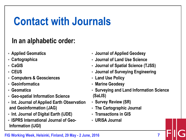### **Contact with Journals**

#### **In an alphabetic order:**

- **Applied Geomatics**
- **Cartographica**
- **CaGIS**
- **CEUS**
- **Computers & Geosciences**
- **Geoinformatica**
- **Geomatica**
- **Geo-spatial Information Science**
- **Int. Journal of Applied Earth Observation and Geoinformation (JAG)**
- **Int. Journal of Digital Earth (IJDE)**
- **ISPRS International Journal of Geo-Information (IJGI)**
- **Journal of Applied Geodesy**
- **Journal of Land Use Science**
- **Journal of Spatial Science (TJSS)**
- **Journal of Surveying Engineering**
- **Land Use Policy**
- **Marine Geodesy**
- **Surveying and Land Information Science (SaLIS)**
- **Survey Review (SR)**
- **The Cartographic Journal**
- **Transactions in GIS**
- **URISA Journal**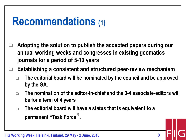#### **Recommendations (1)**

 **Adopting the solution to publish the accepted papers during our annual working weeks and congresses in existing geomatics journals for a period of 5-10 years** 

**Establishing a consistent and structured peer-review mechanism**

- **The editorial board will be nominated by the council and be approved by the GA.**
- **The nomination of the editor-in-chief and the 3-4 associate-editors will be for a term of 4 years**
- **The editorial board will have a status that is equivalent to a permanent "Task Force".**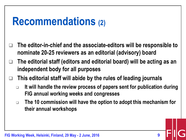#### **Recommendations (2)**

- **The editor-in-chief and the associate-editors will be responsible to nominate 20-25 reviewers as an editorial (advisory) board**
- **The editorial staff (editors and editorial board) will be acting as an independent body for all purposes**
- **This editorial staff will abide by the rules of leading journals**
	- **It will handle the review process of papers sent for publication during FIG annual working weeks and congresses**
	- **The 10 commission will have the option to adopt this mechanism for their annual workshops**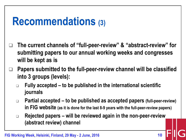#### **Recommendations (3)**

- **The current channels of "full-peer-review" & "abstract-review" for submitting papers to our annual working weeks and congresses will be kept as is**
- **Papers submitted to the full-peer-review channel will be classified into 3 groups (levels):**
	- **Fully accepted – to be published in the international scientific journals**
	- **Partial accepted – to be published as accepted papers (full-peer-review) in FIG website (as it is done for the last 8-9 years with the full-peer-review papers)**
	- **Rejected papers – will be reviewed again in the non-peer-review (abstract review) channel**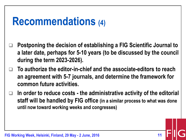#### **Recommendations (4)**

- **Postponing the decision of establishing a FIG Scientific Journal to a later date, perhaps for 5-10 years (to be discussed by the council during the term 2023-2026).**
- **To authorize the editor-in-chief and the associate-editors to reach an agreement with 5-7 journals, and determine the framework for common future activities.**
- **In order to reduce costs - the administrative activity of the editorial staff will be handled by FIG office (in a similar process to what was done until now toward working weeks and congresses)**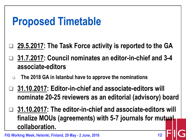#### **Proposed Timetable**

- **29.5.2017: The Task Force activity is reported to the GA**
- **31.7.2017: Council nominates an editor-in-chief and 3-4 associate-editors**
- **The 2018 GA in Istanbul have to approve the nominations**
- **31.10.2017: Editor-in-chief and associate-editors will nominate 20-25 reviewers as an editorial (advisory) board**
- **31.10.2017: The editor-in-chief and associate-editors will finalize MOUs (agreements) with 5-7 journals for mutual collaboration.**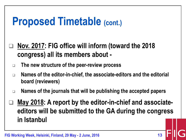#### **Proposed Timetable (cont.)**

- **Nov. 2017: FIG office will inform (toward the 2018 congress) all its members about -**
- **The new structure of the peer-review process**
- **Names of the editor-in-chief, the associate-editors and the editorial board (reviewers)**
- **Names of the journals that will be publishing the accepted papers**
- **May 2018: A report by the editor-in-chief and associateeditors will be submitted to the GA during the congress in Istanbul**